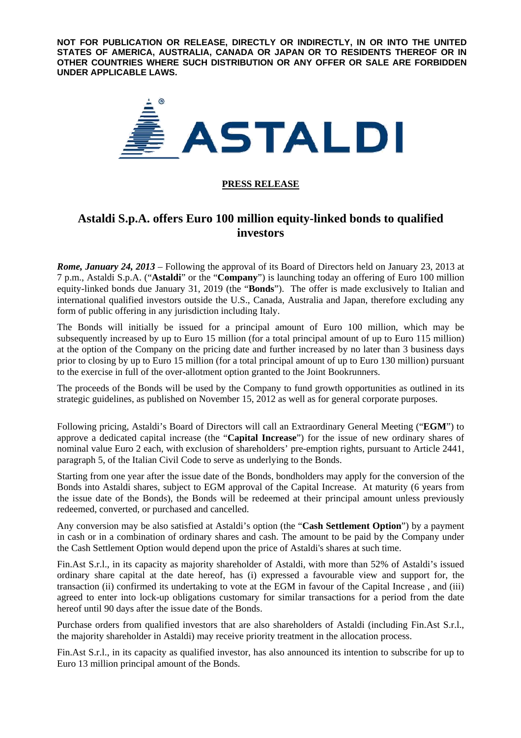**NOT FOR PUBLICATION OR RELEASE, DIRECTLY OR INDIRECTLY, IN OR INTO THE UNITED STATES OF AMERICA, AUSTRALIA, CANADA OR JAPAN OR TO RESIDENTS THEREOF OR IN OTHER COUNTRIES WHERE SUCH DISTRIBUTION OR ANY OFFER OR SALE ARE FORBIDDEN UNDER APPLICABLE LAWS.** 



# **PRESS RELEASE**

# **Astaldi S.p.A. offers Euro 100 million equity-linked bonds to qualified investors**

*Rome, January 24, 2013* – Following the approval of its Board of Directors held on January 23, 2013 at 7 p.m., Astaldi S.p.A. ("**Astaldi**" or the "**Company**") is launching today an offering of Euro 100 million equity-linked bonds due January 31, 2019 (the "**Bonds**"). The offer is made exclusively to Italian and international qualified investors outside the U.S., Canada, Australia and Japan, therefore excluding any form of public offering in any jurisdiction including Italy.

The Bonds will initially be issued for a principal amount of Euro 100 million, which may be subsequently increased by up to Euro 15 million (for a total principal amount of up to Euro 115 million) at the option of the Company on the pricing date and further increased by no later than 3 business days prior to closing by up to Euro 15 million (for a total principal amount of up to Euro 130 million) pursuant to the exercise in full of the over-allotment option granted to the Joint Bookrunners.

The proceeds of the Bonds will be used by the Company to fund growth opportunities as outlined in its strategic guidelines, as published on November 15, 2012 as well as for general corporate purposes.

Following pricing, Astaldi's Board of Directors will call an Extraordinary General Meeting ("**EGM**") to approve a dedicated capital increase (the "**Capital Increase**") for the issue of new ordinary shares of nominal value Euro 2 each, with exclusion of shareholders' pre-emption rights, pursuant to Article 2441, paragraph 5, of the Italian Civil Code to serve as underlying to the Bonds.

Starting from one year after the issue date of the Bonds, bondholders may apply for the conversion of the Bonds into Astaldi shares, subject to EGM approval of the Capital Increase. At maturity (6 years from the issue date of the Bonds), the Bonds will be redeemed at their principal amount unless previously redeemed, converted, or purchased and cancelled.

Any conversion may be also satisfied at Astaldi's option (the "**Cash Settlement Option**") by a payment in cash or in a combination of ordinary shares and cash. The amount to be paid by the Company under the Cash Settlement Option would depend upon the price of Astaldi's shares at such time.

Fin.Ast S.r.l., in its capacity as majority shareholder of Astaldi, with more than 52% of Astaldi's issued ordinary share capital at the date hereof, has (i) expressed a favourable view and support for, the transaction (ii) confirmed its undertaking to vote at the EGM in favour of the Capital Increase , and (iii) agreed to enter into lock-up obligations customary for similar transactions for a period from the date hereof until 90 days after the issue date of the Bonds.

Purchase orders from qualified investors that are also shareholders of Astaldi (including Fin.Ast S.r.l., the majority shareholder in Astaldi) may receive priority treatment in the allocation process.

Fin.Ast S.r.l., in its capacity as qualified investor, has also announced its intention to subscribe for up to Euro 13 million principal amount of the Bonds.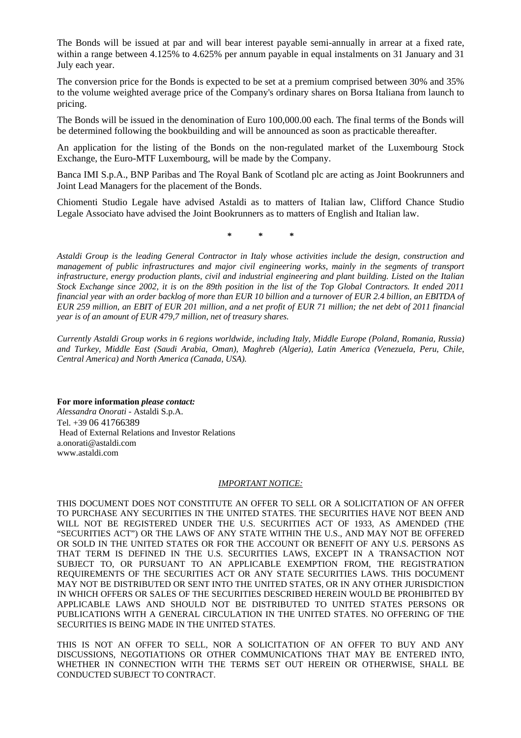The Bonds will be issued at par and will bear interest payable semi-annually in arrear at a fixed rate, within a range between 4.125% to 4.625% per annum payable in equal instalments on 31 January and 31 July each year.

The conversion price for the Bonds is expected to be set at a premium comprised between 30% and 35% to the volume weighted average price of the Company's ordinary shares on Borsa Italiana from launch to pricing.

The Bonds will be issued in the denomination of Euro 100,000.00 each. The final terms of the Bonds will be determined following the bookbuilding and will be announced as soon as practicable thereafter.

An application for the listing of the Bonds on the non-regulated market of the Luxembourg Stock Exchange, the Euro-MTF Luxembourg, will be made by the Company.

Banca IMI S.p.A., BNP Paribas and The Royal Bank of Scotland plc are acting as Joint Bookrunners and Joint Lead Managers for the placement of the Bonds.

Chiomenti Studio Legale have advised Astaldi as to matters of Italian law, Clifford Chance Studio Legale Associato have advised the Joint Bookrunners as to matters of English and Italian law.

**\* \* \*** 

*Astaldi Group is the leading General Contractor in Italy whose activities include the design, construction and management of public infrastructures and major civil engineering works, mainly in the segments of transport infrastructure, energy production plants, civil and industrial engineering and plant building. Listed on the Italian Stock Exchange since 2002, it is on the 89th position in the list of the Top Global Contractors. It ended 2011 financial year with an order backlog of more than EUR 10 billion and a turnover of EUR 2.4 billion, an EBITDA of EUR 259 million, an EBIT of EUR 201 million, and a net profit of EUR 71 million; the net debt of 2011 financial year is of an amount of EUR 479,7 million, net of treasury shares.* 

*Currently Astaldi Group works in 6 regions worldwide, including Italy, Middle Europe (Poland, Romania, Russia) and Turkey, Middle East (Saudi Arabia, Oman), Maghreb (Algeria), Latin America (Venezuela, Peru, Chile, Central America) and North America (Canada, USA).*

**For more information** *please contact:* 

*Alessandra Onorati* - Astaldi S.p.A. Tel. +39 06 41766389 Head of External Relations and Investor Relations a.onorati@astaldi.com www.astaldi.com

## *IMPORTANT NOTICE:*

THIS DOCUMENT DOES NOT CONSTITUTE AN OFFER TO SELL OR A SOLICITATION OF AN OFFER TO PURCHASE ANY SECURITIES IN THE UNITED STATES. THE SECURITIES HAVE NOT BEEN AND WILL NOT BE REGISTERED UNDER THE U.S. SECURITIES ACT OF 1933, AS AMENDED (THE "SECURITIES ACT") OR THE LAWS OF ANY STATE WITHIN THE U.S., AND MAY NOT BE OFFERED OR SOLD IN THE UNITED STATES OR FOR THE ACCOUNT OR BENEFIT OF ANY U.S. PERSONS AS THAT TERM IS DEFINED IN THE U.S. SECURITIES LAWS, EXCEPT IN A TRANSACTION NOT SUBJECT TO, OR PURSUANT TO AN APPLICABLE EXEMPTION FROM, THE REGISTRATION REQUIREMENTS OF THE SECURITIES ACT OR ANY STATE SECURITIES LAWS. THIS DOCUMENT MAY NOT BE DISTRIBUTED OR SENT INTO THE UNITED STATES, OR IN ANY OTHER JURISDICTION IN WHICH OFFERS OR SALES OF THE SECURITIES DESCRIBED HEREIN WOULD BE PROHIBITED BY APPLICABLE LAWS AND SHOULD NOT BE DISTRIBUTED TO UNITED STATES PERSONS OR PUBLICATIONS WITH A GENERAL CIRCULATION IN THE UNITED STATES. NO OFFERING OF THE SECURITIES IS BEING MADE IN THE UNITED STATES.

THIS IS NOT AN OFFER TO SELL, NOR A SOLICITATION OF AN OFFER TO BUY AND ANY DISCUSSIONS, NEGOTIATIONS OR OTHER COMMUNICATIONS THAT MAY BE ENTERED INTO, WHETHER IN CONNECTION WITH THE TERMS SET OUT HEREIN OR OTHERWISE, SHALL BE CONDUCTED SUBJECT TO CONTRACT.